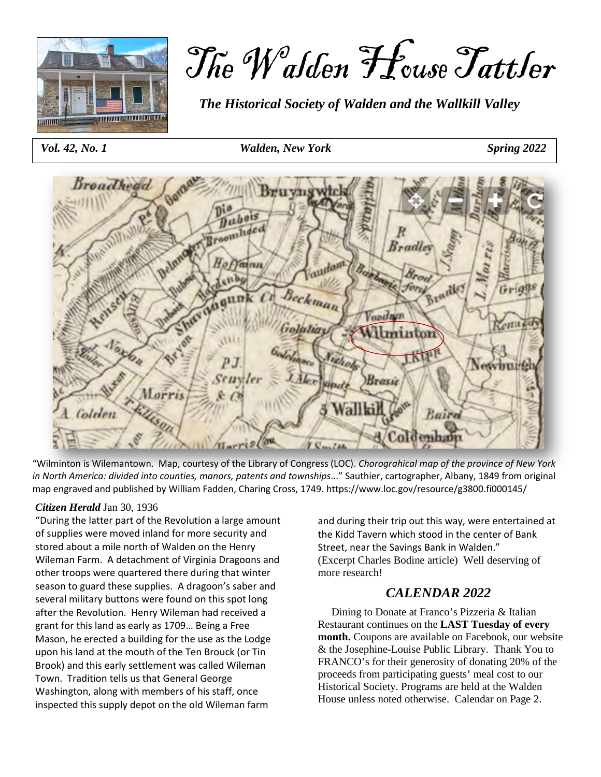

# The Walden House Tattler

*The Historical Society of Walden and the Wallkill Valley*

 *Vol. 42, No. 1 Walden, New York Spring 2022*



"Wilminton is Wilemantown. Map, courtesy of the Library of Congress (LOC). *Chorograhical map of the province of New York in North America: divided into counties, manors, patents and townships*..." Sauthier, cartographer, Albany, 1849 from original map engraved and published by William Fadden, Charing Cross, 1749[. https://www.loc.gov/resource/g3800.fi000145/](https://www.loc.gov/resource/g3800.fi000145/)

#### *Citizen Herald* Jan 30, 1936

"During the latter part of the Revolution a large amount of supplies were moved inland for more security and stored about a mile north of Walden on the Henry Wileman Farm. A detachment of Virginia Dragoons and other troops were quartered there during that winter season to guard these supplies. A dragoon's saber and several military buttons were found on this spot long after the Revolution. Henry Wileman had received a grant for this land as early as 1709… Being a Free Mason, he erected a building for the use as the Lodge upon his land at the mouth of the Ten Brouck (or Tin Brook) and this early settlement was called Wileman Town. Tradition tells us that General George Washington, along with members of his staff, once inspected this supply depot on the old Wileman farm

and during their trip out this way, were entertained at the Kidd Tavern which stood in the center of Bank Street, near the Savings Bank in Walden." (Excerpt Charles Bodine article) Well deserving of more research!

# *CALENDAR 2022*

 Dining to Donate at Franco's Pizzeria & Italian Restaurant continues on the **LAST Tuesday of every month.** Coupons are available on Facebook, our website & the Josephine-Louise Public Library. Thank You to FRANCO's for their generosity of donating 20% of the proceeds from participating guests' meal cost to our Historical Society. Programs are held at the Walden House unless noted otherwise. Calendar on Page 2.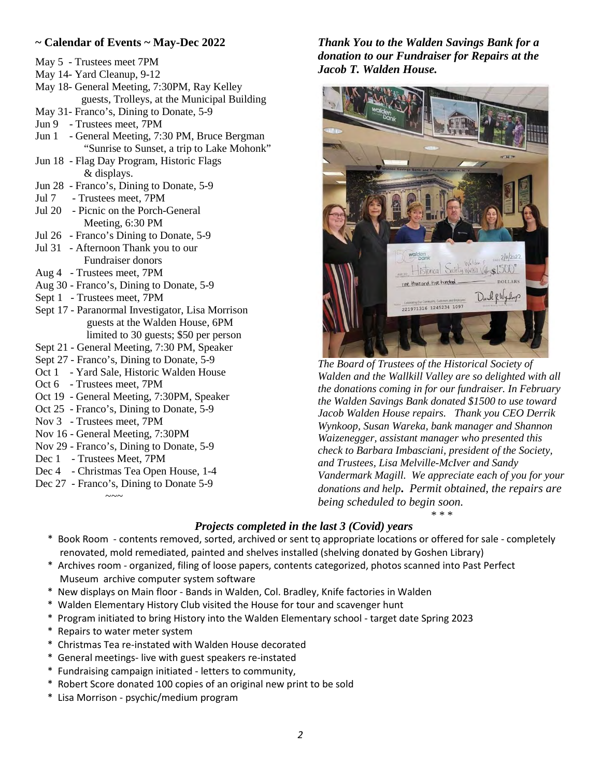## **~ Calendar of Events ~ May-Dec 2022**

- May 5 Trustees meet 7PM
- May 14- Yard Cleanup, 9-12
- May 18- General Meeting, 7:30PM, Ray Kelley guests, Trolleys, at the Municipal Building
- May 31- Franco's, Dining to Donate, 5-9
- Jun 9 Trustees meet, 7PM
- Jun 1 General Meeting, 7:30 PM, Bruce Bergman "Sunrise to Sunset, a trip to Lake Mohonk"
- Jun 18 Flag Day Program, Historic Flags & displays.
- Jun 28 Franco's, Dining to Donate, 5-9
- Jul 7 Trustees meet, 7PM
- Jul 20 Picnic on the Porch-General Meeting, 6:30 PM
- Jul 26 Franco's Dining to Donate, 5-9
- Jul 31 Afternoon Thank you to our Fundraiser donors
- Aug 4 Trustees meet, 7PM
- Aug 30 Franco's, Dining to Donate, 5-9
- Sept 1 Trustees meet, 7PM
- Sept 17 Paranormal Investigator, Lisa Morrison guests at the Walden House, 6PM limited to 30 guests; \$50 per person
- Sept 21 General Meeting, 7:30 PM, Speaker
- Sept 27 Franco's, Dining to Donate, 5-9
- Oct 1 Yard Sale, Historic Walden House
- Oct 6 Trustees meet, 7PM
- Oct 19 General Meeting, 7:30PM, Speaker
- Oct 25 Franco's, Dining to Donate, 5-9
- Nov 3 Trustees meet, 7PM
- Nov 16 General Meeting, 7:30PM
- Nov 29 Franco's, Dining to Donate, 5-9
- Dec 1 Trustees Meet, 7PM

 $\sim$   $\sim$   $\sim$   $\sim$ 

- Dec 4 Christmas Tea Open House, 1-4
- Dec 27 Franco's, Dining to Donate 5-9

*Thank You to the Walden Savings Bank for a donation to our Fundraiser for Repairs at the Jacob T. Walden House.* 



*The Board of Trustees of the Historical Society of Walden and the Wallkill Valley are so delighted with all the donations coming in for our fundraiser. In February the Walden Savings Bank donated \$1500 to use toward Jacob Walden House repairs. Thank you CEO Derrik Wynkoop, Susan Wareka, bank manager and Shannon Waizenegger, assistant manager who presented this check to Barbara Imbasciani, president of the Society, and Trustees, Lisa Melville-McIver and Sandy Vandermark Magill. We appreciate each of you for your donations and help***.** *Permit obtained, the repairs are being scheduled to begin soon.* 

*\* \* \**

# *Projects completed in the last 3 (Covid) years*

- *.*  \* Book Room contents removed, sorted, archived or sent to appropriate locations or offered for sale completely renovated, mold remediated, painted and shelves installed (shelving donated by Goshen Library)
- \* Archives room organized, filing of loose papers, contents categorized, photos scanned into Past Perfect Museum archive computer system software
- \* New displays on Main floor Bands in Walden, Col. Bradley, Knife factories in Walden
- \* Walden Elementary History Club visited the House for tour and scavenger hunt
- \* Program initiated to bring History into the Walden Elementary school target date Spring 2023
- \* Repairs to water meter system
- \* Christmas Tea re-instated with Walden House decorated
- \* General meetings- live with guest speakers re-instated
- \* Fundraising campaign initiated letters to community,
- \* Robert Score donated 100 copies of an original new print to be sold
- \* Lisa Morrison psychic/medium program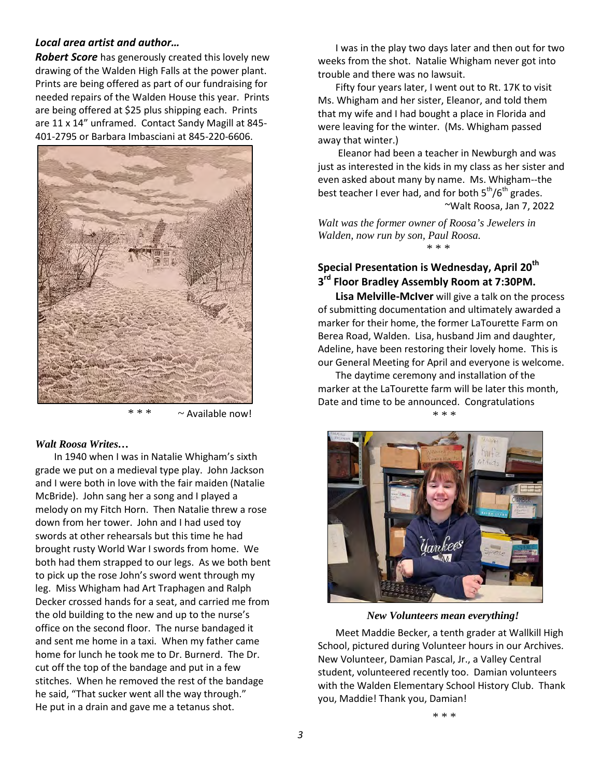## *Local area artist and author…*

*Robert Score* has generously created this lovely new drawing of the Walden High Falls at the power plant. Prints are being offered as part of our fundraising for needed repairs of the Walden House this year. Prints are being offered at \$25 plus shipping each. Prints are 11 x 14" unframed. Contact Sandy Magill at 845- 401-2795 or Barbara Imbasciani at 845-220-6606.



 $* * \sim$  Available now!

#### *Walt Roosa Writes…*

 In 1940 when I was in Natalie Whigham's sixth grade we put on a medieval type play. John Jackson and I were both in love with the fair maiden (Natalie McBride). John sang her a song and I played a melody on my Fitch Horn. Then Natalie threw a rose down from her tower. John and I had used toy swords at other rehearsals but this time he had brought rusty World War I swords from home. We both had them strapped to our legs. As we both bent to pick up the rose John's sword went through my leg. Miss Whigham had Art Traphagen and Ralph Decker crossed hands for a seat, and carried me from the old building to the new and up to the nurse's office on the second floor. The nurse bandaged it and sent me home in a taxi. When my father came home for lunch he took me to Dr. Burnerd. The Dr. cut off the top of the bandage and put in a few stitches. When he removed the rest of the bandage he said, "That sucker went all the way through." He put in a drain and gave me a tetanus shot.

 I was in the play two days later and then out for two weeks from the shot. Natalie Whigham never got into trouble and there was no lawsuit.

Fifty four years later, I went out to Rt. 17K to visit Ms. Whigham and her sister, Eleanor, and told them that my wife and I had bought a place in Florida and were leaving for the winter. (Ms. Whigham passed away that winter.)

 Eleanor had been a teacher in Newburgh and was just as interested in the kids in my class as her sister and even asked about many by name. Ms. Whigham--the best teacher I ever had, and for both  $5<sup>th</sup>/6<sup>th</sup>$  grades. ~Walt Roosa, Jan 7, 2022

*Walt was the former owner of Roosa's Jewelers in Walden, now run by son, Paul Roosa.* 

\* \* \*

# **Special Presentation is Wednesday, April 20th 3rd Floor Bradley Assembly Room at 7:30PM.**

**Lisa Melville-McIver** will give a talk on the process of submitting documentation and ultimately awarded a marker for their home, the former LaTourette Farm on Berea Road, Walden. Lisa, husband Jim and daughter, Adeline, have been restoring their lovely home. This is our General Meeting for April and everyone is welcome.

The daytime ceremony and installation of the marker at the LaTourette farm will be later this month, Date and time to be announced. Congratulations

\* \* \*



*New Volunteers mean everything!*

Meet Maddie Becker, a tenth grader at Wallkill High School, pictured during Volunteer hours in our Archives. New Volunteer, Damian Pascal, Jr., a Valley Central student, volunteered recently too. Damian volunteers with the Walden Elementary School History Club. Thank you, Maddie! Thank you, Damian!

\* \* \*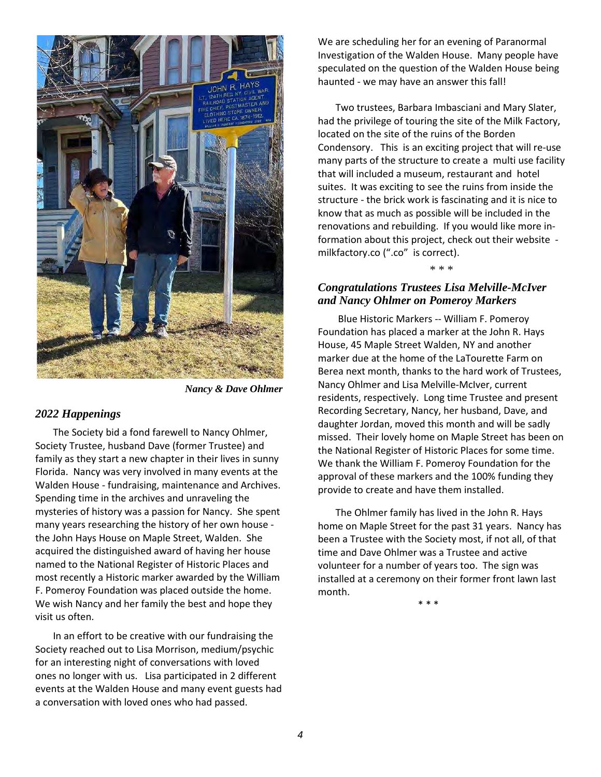

*Nancy & Dave Ohlmer*

#### *2022 Happenings*

The Society bid a fond farewell to Nancy Ohlmer, Society Trustee, husband Dave (former Trustee) and family as they start a new chapter in their lives in sunny Florida. Nancy was very involved in many events at the Walden House - fundraising, maintenance and Archives. Spending time in the archives and unraveling the mysteries of history was a passion for Nancy. She spent many years researching the history of her own house the John Hays House on Maple Street, Walden. She acquired the distinguished award of having her house named to the National Register of Historic Places and most recently a Historic marker awarded by the William F. Pomeroy Foundation was placed outside the home. We wish Nancy and her family the best and hope they visit us often.

In an effort to be creative with our fundraising the Society reached out to Lisa Morrison, medium/psychic for an interesting night of conversations with loved ones no longer with us. Lisa participated in 2 different events at the Walden House and many event guests had a conversation with loved ones who had passed.

We are scheduling her for an evening of Paranormal Investigation of the Walden House. Many people have speculated on the question of the Walden House being haunted - we may have an answer this fall!

Two trustees, Barbara Imbasciani and Mary Slater, had the privilege of touring the site of the Milk Factory, located on the site of the ruins of the Borden Condensory. This is an exciting project that will re-use many parts of the structure to create a multi use facility that will included a museum, restaurant and hotel suites. It was exciting to see the ruins from inside the structure - the brick work is fascinating and it is nice to know that as much as possible will be included in the renovations and rebuilding. If you would like more information about this project, check out their website milkfactory.co (".co" is correct).

\* \* \*

## *Congratulations Trustees Lisa Melville-McIver and Nancy Ohlmer on Pomeroy Markers*

 Blue Historic Markers -- William F. Pomeroy Foundation has placed a marker at the John R. Hays House, 45 Maple Street Walden, NY and another marker due at the home of the LaTourette Farm on Berea next month, thanks to the hard work of Trustees, Nancy Ohlmer and Lisa Melville-McIver, current residents, respectively. Long time Trustee and present Recording Secretary, Nancy, her husband, Dave, and daughter Jordan, moved this month and will be sadly missed. Their lovely home on Maple Street has been on the National Register of Historic Places for some time. We thank the William F. Pomeroy Foundation for the approval of these markers and the 100% funding they provide to create and have them installed.

 The Ohlmer family has lived in the John R. Hays home on Maple Street for the past 31 years. Nancy has been a Trustee with the Society most, if not all, of that time and Dave Ohlmer was a Trustee and active volunteer for a number of years too. The sign was installed at a ceremony on their former front lawn last month.

 $* * *$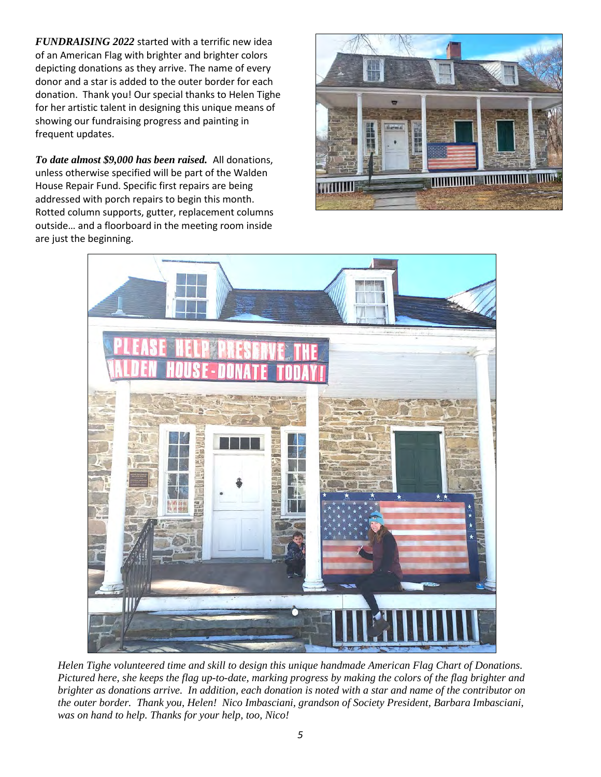*FUNDRAISING 2022* started with a terrific new idea of an American Flag with brighter and brighter colors depicting donations as they arrive. The name of every donor and a star is added to the outer border for each donation. Thank you! Our special thanks to Helen Tighe for her artistic talent in designing this unique means of showing our fundraising progress and painting in frequent updates.

*To date almost \$9,000 has been raised.* All donations, unless otherwise specified will be part of the Walden House Repair Fund. Specific first repairs are being addressed with porch repairs to begin this month. Rotted column supports, gutter, replacement columns outside… and a floorboard in the meeting room inside are just the beginning.





*Helen Tighe volunteered time and skill to design this unique handmade American Flag Chart of Donations. Pictured here, she keeps the flag up-to-date, marking progress by making the colors of the flag brighter and brighter as donations arrive. In addition, each donation is noted with a star and name of the contributor on the outer border. Thank you, Helen! Nico Imbasciani, grandson of Society President, Barbara Imbasciani, was on hand to help. Thanks for your help, too, Nico!*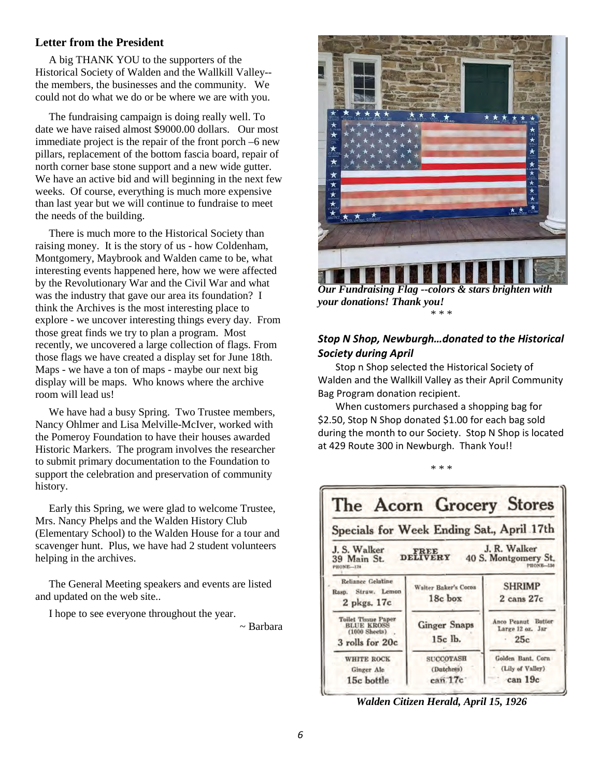## **Letter from the President**

 A big THANK YOU to the supporters of the Historical Society of Walden and the Wallkill Valley- the members, the businesses and the community. We could not do what we do or be where we are with you.

 The fundraising campaign is doing really well. To date we have raised almost \$9000.00 dollars. Our most immediate project is the repair of the front porch –6 new pillars, replacement of the bottom fascia board, repair of north corner base stone support and a new wide gutter. We have an active bid and will beginning in the next few weeks. Of course, everything is much more expensive than last year but we will continue to fundraise to meet the needs of the building.

 There is much more to the Historical Society than raising money. It is the story of us - how Coldenham, Montgomery, Maybrook and Walden came to be, what interesting events happened here, how we were affected by the Revolutionary War and the Civil War and what was the industry that gave our area its foundation? I think the Archives is the most interesting place to explore - we uncover interesting things every day. From those great finds we try to plan a program. Most recently, we uncovered a large collection of flags. From those flags we have created a display set for June 18th. Maps - we have a ton of maps - maybe our next big display will be maps. Who knows where the archive room will lead us!

 We have had a busy Spring. Two Trustee members, Nancy Ohlmer and Lisa Melville-McIver, worked with the Pomeroy Foundation to have their houses awarded Historic Markers. The program involves the researcher to submit primary documentation to the Foundation to support the celebration and preservation of community history.

 Early this Spring, we were glad to welcome Trustee, Mrs. Nancy Phelps and the Walden History Club (Elementary School) to the Walden House for a tour and scavenger hunt. Plus, we have had 2 student volunteers helping in the archives.

 The General Meeting speakers and events are listed and updated on the web site..

I hope to see everyone throughout the year.

~ Barbara



*your donations! Thank you!* \* \* \*

## *Stop N Shop, Newburgh…donated to the Historical Society during April*

Stop n Shop selected the Historical Society of Walden and the Wallkill Valley as their April Community Bag Program donation recipient.

When customers purchased a shopping bag for \$2.50, Stop N Shop donated \$1.00 for each bag sold during the month to our Society. Stop N Shop is located at 429 Route 300 in Newburgh. Thank You!!

\* \* \*



*Walden Citizen Herald, April 15, 1926*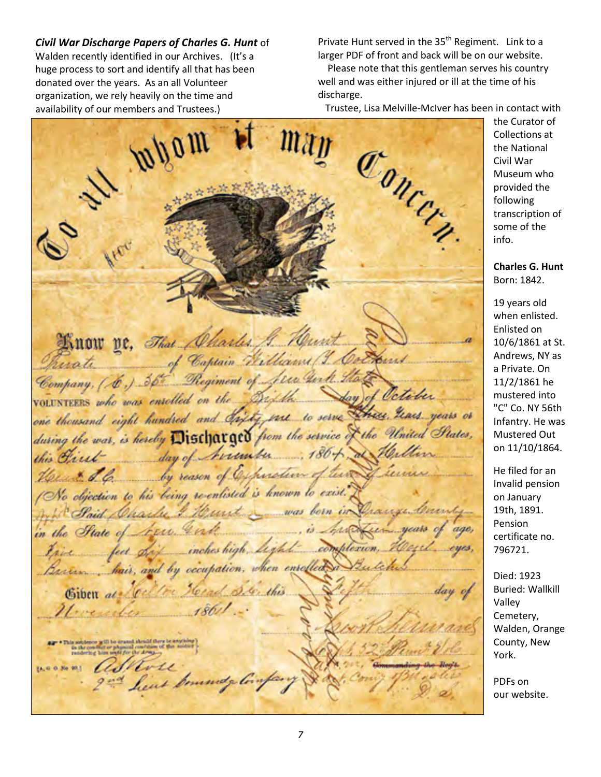*Civil War Discharge Papers of Charles G. Hunt* of Walden recently identified in our Archives. (It's a huge process to sort and identify all that has been donated over the years. As an all Volunteer organization, we rely heavily on the time and availability of our members and Trustees.)

Private Hunt served in the 35<sup>th</sup> Regiment. Link to a larger PDF of front and back will be on our website.

 Please note that this gentleman serves his country well and was either injured or ill at the time of his discharge.

Trustee, Lisa Melville-McIver has been in contact with

mpom  $\mathcal{O}_{\mathcal{H}_{\mathcal{C}_{\mathcal{P}_{\mathcal{P}}}}^{*}}$ Know ve, That Charles. G. Murit of Captain Williams (J. Con uati Company, (6.) 36 Regiment of Jew the day of October volUNTEERS who was enrolled on the Digital one thousand eight hundred and Sixty one to serve these Lease years or during the war, is hereby Discharged from the service of the United States, day of Arrenter  $.186 + .84$ this Cliest 6 by reason of Expiration of tears to objection to his being re-enlisted is known to exist. Curt \_ was born in Paid Charles 3 in the State of Arre. In .. is Sophist ica inches high light complexion, feet. Beaum hair, and by occupation, when enrolled Herade Senthis Giben als .<br>1971 ber strugend, album fill silvers<br>2011 bergfil für Liber Arten jurg.<br>2011 bergfil für Liber Arten jurg. ashore [A, G O No 40.] heat boundy linfa

the Curator of Collections at the National Civil War Museum who provided the following transcription of some of the info.

### **Charles G. Hunt** Born: 1842.

19 years old when enlisted. Enlisted on 10/6/1861 at St. Andrews, NY as a Private. On 11/2/1861 he mustered into "C" Co. NY 56th Infantry. He was Mustered Out on 11/10/1864.

He filed for an Invalid pension on January 19th, 1891. Pension certificate no. 796721.

Died: 1923 Buried: Wallkill Valley Cemetery, Walden, Orange County, New York.

PDFs on our website.